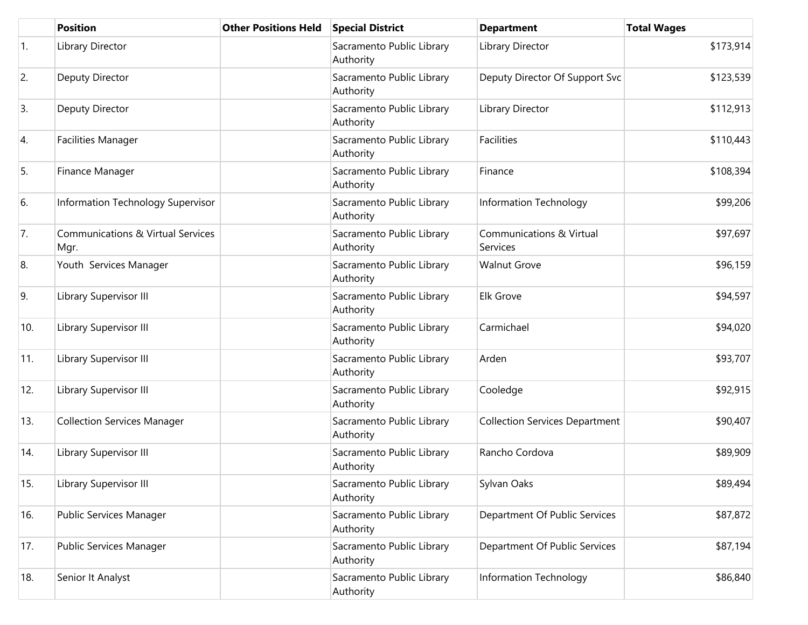|            | <b>Position</b>                                      | <b>Other Positions Held</b> | <b>Special District</b>                | <b>Department</b>                     | <b>Total Wages</b> |
|------------|------------------------------------------------------|-----------------------------|----------------------------------------|---------------------------------------|--------------------|
| $\vert$ 1. | Library Director                                     |                             | Sacramento Public Library<br>Authority | Library Director                      | \$173,914          |
| 2.         | Deputy Director                                      |                             | Sacramento Public Library<br>Authority | Deputy Director Of Support Svc        | \$123,539          |
| 3.         | Deputy Director                                      |                             | Sacramento Public Library<br>Authority | Library Director                      | \$112,913          |
| 4.         | <b>Facilities Manager</b>                            |                             | Sacramento Public Library<br>Authority | <b>Facilities</b>                     | \$110,443          |
| 5.         | Finance Manager                                      |                             | Sacramento Public Library<br>Authority | Finance                               | \$108,394          |
| 6.         | Information Technology Supervisor                    |                             | Sacramento Public Library<br>Authority | Information Technology                | \$99,206           |
| 7.         | <b>Communications &amp; Virtual Services</b><br>Mgr. |                             | Sacramento Public Library<br>Authority | Communications & Virtual<br>Services  | \$97,697           |
| 8.         | Youth Services Manager                               |                             | Sacramento Public Library<br>Authority | <b>Walnut Grove</b>                   | \$96,159           |
| 9.         | Library Supervisor III                               |                             | Sacramento Public Library<br>Authority | <b>Elk Grove</b>                      | \$94,597           |
| 10.        | Library Supervisor III                               |                             | Sacramento Public Library<br>Authority | Carmichael                            | \$94,020           |
| 11.        | Library Supervisor III                               |                             | Sacramento Public Library<br>Authority | Arden                                 | \$93,707           |
| 12.        | Library Supervisor III                               |                             | Sacramento Public Library<br>Authority | Cooledge                              | \$92,915           |
| 13.        | <b>Collection Services Manager</b>                   |                             | Sacramento Public Library<br>Authority | <b>Collection Services Department</b> | \$90,407           |
| 14.        | Library Supervisor III                               |                             | Sacramento Public Library<br>Authority | Rancho Cordova                        | \$89,909           |
| 15.        | Library Supervisor III                               |                             | Sacramento Public Library<br>Authority | Sylvan Oaks                           | \$89,494           |
| 16.        | Public Services Manager                              |                             | Sacramento Public Library<br>Authority | Department Of Public Services         | \$87,872           |
| 17.        | Public Services Manager                              |                             | Sacramento Public Library<br>Authority | Department Of Public Services         | \$87,194           |
| 18.        | Senior It Analyst                                    |                             | Sacramento Public Library<br>Authority | Information Technology                | \$86,840           |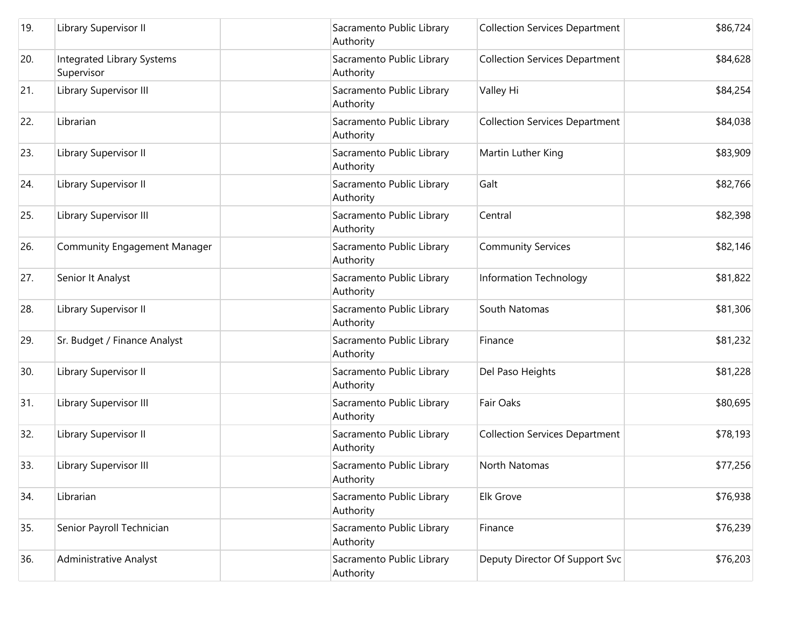| 19. | Library Supervisor II                    | Sacramento Public Library<br>Authority | <b>Collection Services Department</b> | \$86,724 |
|-----|------------------------------------------|----------------------------------------|---------------------------------------|----------|
| 20. | Integrated Library Systems<br>Supervisor | Sacramento Public Library<br>Authority | <b>Collection Services Department</b> | \$84,628 |
| 21. | Library Supervisor III                   | Sacramento Public Library<br>Authority | Valley Hi                             | \$84,254 |
| 22. | Librarian                                | Sacramento Public Library<br>Authority | <b>Collection Services Department</b> | \$84,038 |
| 23. | Library Supervisor II                    | Sacramento Public Library<br>Authority | Martin Luther King                    | \$83,909 |
| 24. | Library Supervisor II                    | Sacramento Public Library<br>Authority | Galt                                  | \$82,766 |
| 25. | Library Supervisor III                   | Sacramento Public Library<br>Authority | Central                               | \$82,398 |
| 26. | <b>Community Engagement Manager</b>      | Sacramento Public Library<br>Authority | <b>Community Services</b>             | \$82,146 |
| 27. | Senior It Analyst                        | Sacramento Public Library<br>Authority | Information Technology                | \$81,822 |
| 28. | Library Supervisor II                    | Sacramento Public Library<br>Authority | South Natomas                         | \$81,306 |
| 29. | Sr. Budget / Finance Analyst             | Sacramento Public Library<br>Authority | Finance                               | \$81,232 |
| 30. | Library Supervisor II                    | Sacramento Public Library<br>Authority | Del Paso Heights                      | \$81,228 |
| 31. | Library Supervisor III                   | Sacramento Public Library<br>Authority | Fair Oaks                             | \$80,695 |
| 32. | Library Supervisor II                    | Sacramento Public Library<br>Authority | <b>Collection Services Department</b> | \$78,193 |
| 33. | Library Supervisor III                   | Sacramento Public Library<br>Authority | North Natomas                         | \$77,256 |
| 34. | Librarian                                | Sacramento Public Library<br>Authority | Elk Grove                             | \$76,938 |
| 35. | Senior Payroll Technician                | Sacramento Public Library<br>Authority | Finance                               | \$76,239 |
| 36. | Administrative Analyst                   | Sacramento Public Library<br>Authority | Deputy Director Of Support Svc        | \$76,203 |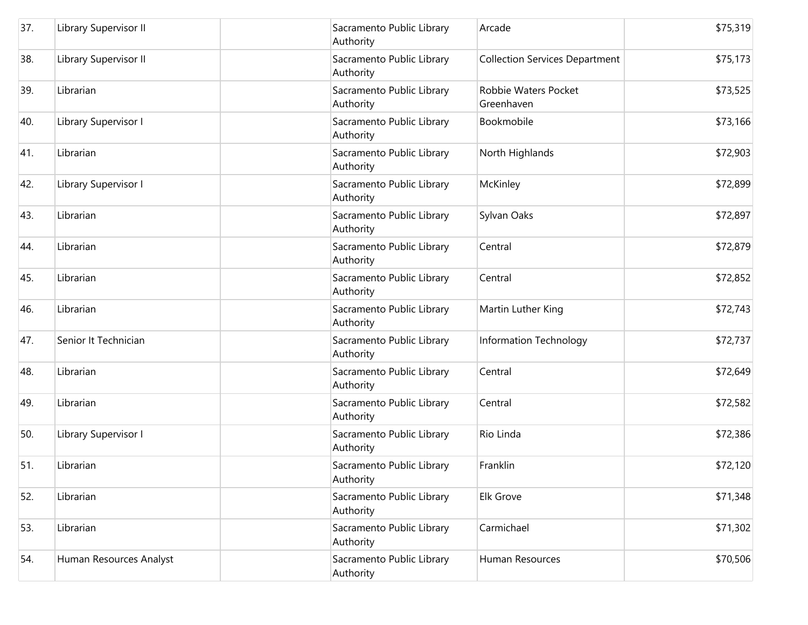| 37. | Library Supervisor II   | Sacramento Public Library<br>Authority | Arcade                                | \$75,319 |
|-----|-------------------------|----------------------------------------|---------------------------------------|----------|
| 38. | Library Supervisor II   | Sacramento Public Library<br>Authority | <b>Collection Services Department</b> | \$75,173 |
| 39. | Librarian               | Sacramento Public Library<br>Authority | Robbie Waters Pocket<br>Greenhaven    | \$73,525 |
| 40. | Library Supervisor I    | Sacramento Public Library<br>Authority | Bookmobile                            | \$73,166 |
| 41. | Librarian               | Sacramento Public Library<br>Authority | North Highlands                       | \$72,903 |
| 42. | Library Supervisor I    | Sacramento Public Library<br>Authority | McKinley                              | \$72,899 |
| 43. | Librarian               | Sacramento Public Library<br>Authority | Sylvan Oaks                           | \$72,897 |
| 44. | Librarian               | Sacramento Public Library<br>Authority | Central                               | \$72,879 |
| 45. | Librarian               | Sacramento Public Library<br>Authority | Central                               | \$72,852 |
| 46. | Librarian               | Sacramento Public Library<br>Authority | Martin Luther King                    | \$72,743 |
| 47. | Senior It Technician    | Sacramento Public Library<br>Authority | Information Technology                | \$72,737 |
| 48. | Librarian               | Sacramento Public Library<br>Authority | Central                               | \$72,649 |
| 49. | Librarian               | Sacramento Public Library<br>Authority | Central                               | \$72,582 |
| 50. | Library Supervisor I    | Sacramento Public Library<br>Authority | Rio Linda                             | \$72,386 |
| 51. | Librarian               | Sacramento Public Library<br>Authority | Franklin                              | \$72,120 |
| 52. | Librarian               | Sacramento Public Library<br>Authority | Elk Grove                             | \$71,348 |
| 53. | Librarian               | Sacramento Public Library<br>Authority | Carmichael                            | \$71,302 |
| 54. | Human Resources Analyst | Sacramento Public Library<br>Authority | Human Resources                       | \$70,506 |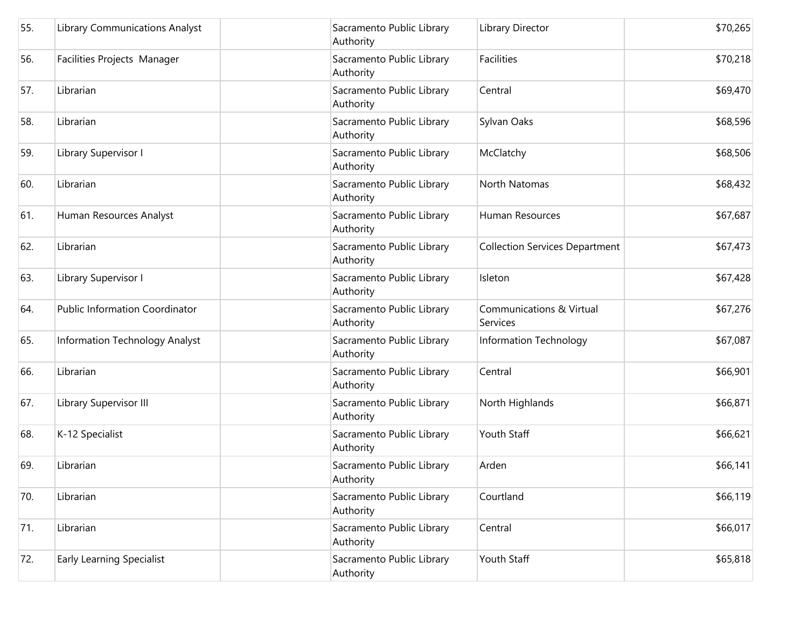| 55. | <b>Library Communications Analyst</b> | Sacramento Public Library<br>Authority | Library Director                      | \$70,265 |
|-----|---------------------------------------|----------------------------------------|---------------------------------------|----------|
| 56. | Facilities Projects Manager           | Sacramento Public Library<br>Authority | Facilities                            | \$70,218 |
| 57. | Librarian                             | Sacramento Public Library<br>Authority | Central                               | \$69,470 |
| 58. | Librarian                             | Sacramento Public Library<br>Authority | Sylvan Oaks                           | \$68,596 |
| 59. | Library Supervisor I                  | Sacramento Public Library<br>Authority | McClatchy                             | \$68,506 |
| 60. | Librarian                             | Sacramento Public Library<br>Authority | North Natomas                         | \$68,432 |
| 61. | Human Resources Analyst               | Sacramento Public Library<br>Authority | Human Resources                       | \$67,687 |
| 62. | Librarian                             | Sacramento Public Library<br>Authority | <b>Collection Services Department</b> | \$67,473 |
| 63. | Library Supervisor I                  | Sacramento Public Library<br>Authority | Isleton                               | \$67,428 |
| 64. | <b>Public Information Coordinator</b> | Sacramento Public Library<br>Authority | Communications & Virtual<br>Services  | \$67,276 |
| 65. | Information Technology Analyst        | Sacramento Public Library<br>Authority | Information Technology                | \$67,087 |
| 66. | Librarian                             | Sacramento Public Library<br>Authority | Central                               | \$66,901 |
| 67. | Library Supervisor III                | Sacramento Public Library<br>Authority | North Highlands                       | \$66,871 |
| 68. | K-12 Specialist                       | Sacramento Public Library<br>Authority | Youth Staff                           | \$66,621 |
| 69. | Librarian                             | Sacramento Public Library<br>Authority | Arden                                 | \$66,141 |
| 70. | Librarian                             | Sacramento Public Library<br>Authority | Courtland                             | \$66,119 |
| 71. | Librarian                             | Sacramento Public Library<br>Authority | Central                               | \$66,017 |
| 72. | <b>Early Learning Specialist</b>      | Sacramento Public Library<br>Authority | Youth Staff                           | \$65,818 |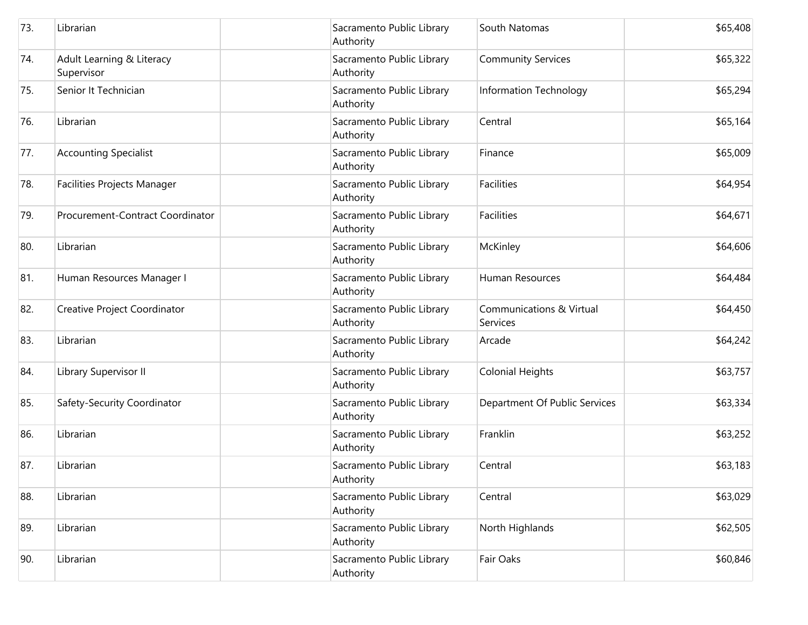| 73. | Librarian                               | Sacramento Public Library<br>Authority | South Natomas                                   | \$65,408 |
|-----|-----------------------------------------|----------------------------------------|-------------------------------------------------|----------|
| 74. | Adult Learning & Literacy<br>Supervisor | Sacramento Public Library<br>Authority | <b>Community Services</b>                       | \$65,322 |
| 75. | Senior It Technician                    | Sacramento Public Library<br>Authority | Information Technology                          | \$65,294 |
| 76. | Librarian                               | Sacramento Public Library<br>Authority | Central                                         | \$65,164 |
| 77. | Accounting Specialist                   | Sacramento Public Library<br>Authority | Finance                                         | \$65,009 |
| 78. | Facilities Projects Manager             | Sacramento Public Library<br>Authority | <b>Facilities</b>                               | \$64,954 |
| 79. | Procurement-Contract Coordinator        | Sacramento Public Library<br>Authority | Facilities                                      | \$64,671 |
| 80. | Librarian                               | Sacramento Public Library<br>Authority | McKinley                                        | \$64,606 |
| 81. | Human Resources Manager I               | Sacramento Public Library<br>Authority | Human Resources                                 | \$64,484 |
| 82. | Creative Project Coordinator            | Sacramento Public Library<br>Authority | <b>Communications &amp; Virtual</b><br>Services | \$64,450 |
| 83. | Librarian                               | Sacramento Public Library<br>Authority | Arcade                                          | \$64,242 |
| 84. | Library Supervisor II                   | Sacramento Public Library<br>Authority | <b>Colonial Heights</b>                         | \$63,757 |
| 85. | Safety-Security Coordinator             | Sacramento Public Library<br>Authority | Department Of Public Services                   | \$63,334 |
| 86. | Librarian                               | Sacramento Public Library<br>Authority | Franklin                                        | \$63,252 |
| 87. | Librarian                               | Sacramento Public Library<br>Authority | Central                                         | \$63,183 |
| 88. | Librarian                               | Sacramento Public Library<br>Authority | Central                                         | \$63,029 |
| 89. | Librarian                               | Sacramento Public Library<br>Authority | North Highlands                                 | \$62,505 |
| 90. | Librarian                               | Sacramento Public Library<br>Authority | Fair Oaks                                       | \$60,846 |